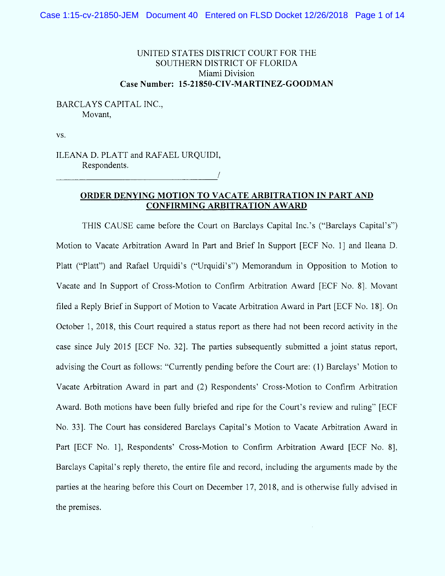# UNITED STATES DISTRICT COURT FOR THE SOUTHERN DISTRICT OF FLORIDA Miami Division Case Number: 15-21850-CIV-MARTINEZ-GOODMAN

# BARCLAYS CAPITAL INC., Movant,

VS.

ILEANA D. PLATT and RAFAEL URQUIDI, Respondents.

## ORDER DENYING MOTION TO VACATE ARBITRATION IN PART AND CONFIRMING ARBITRATION AWARD

THIS CAUSE came before the Court on Barclays Capital Inc.'s ("Barclays Capital's") Motion to Vacate Arbitration Award In Part and Brief In Support [ECF No. 1] and Ileana D. Platt ("Platt") and Rafael Urquidi's ("Urquidi's") Memorandum in Opposition to Motion to Vacate and In Support of Cross-Motion to Confirm Arbitration Award [ECF No. 8]. Movant filed a Reply Brief in Support of Motion to Vacate Arbitration Award in Part [ECF No. 18]. On October 1, 2018, this Court required a status report as there had not been record activity in the case since July 2015 (ECF No. 321. The parties subsequently submitted a joint status report, advising the Court as follows: "Currently pending before the Court are: (1) Barclays' Motion to Vacate Arbitration Award in part and (2) Respondents' Cross-Motion to Confirm Arbitration Award. Both motions have been fully briefed and ripe for the Court's review and ruling'' (ECF No. 331. The Court has considered Barclays Capital's Motion to Vacate Arbitration Award in Part [ECF No. 1], Respondents' Cross-Motion to Confirm Arbitration Award [ECF No. 8], Barclays Capital's reply thereto, the entire file and record, including the arguments made by the parties at the hearing before this Court on December 17, 2018, and is otherwise fully advised in the premises.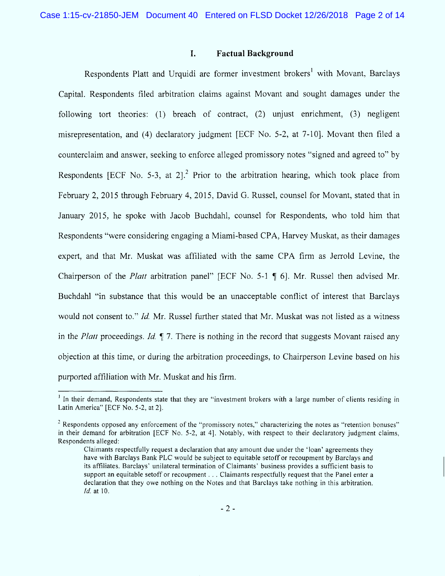#### 1. Factual Background

Respondents Platt and Urquidi are former investment brokers<sup>1</sup> with Movant, Barclays Capital. Respondents filed arbitration claims against Movant and sought damages under the following tort theories: (1) breach of contract, (2) unjust enrichment, (3) negligent misrepresentation, and (4) declaratory judgment [ECF No. 5-2, at 7-10]. Movant then filed a counterclaim and answer, seeking to enforce alleged promissory notes "signed and agreed to" by Respondents [ECF No. 5-3, at 2]<sup>2</sup> Prior to the arbitration hearing, which took place from February 2, 2015 through February 4, 2015, David G. Russel, counsel for Movant, stated that in January 2015, he spoke with Jacob Buchdahl, counsel for Respondents, who told him that Respondents "were considering engaging a Miami-based CPA, Harvey Muskat, as their damages expert, and that Mr. Muskat was affiliated with the same CPA firm as Jerrold Levine, the Chairperson of the *Platt* arbitration panel" [ECF No. 5-1  $\parallel$  6]. Mr. Russel then advised Mr. Buchdahl "in substance that this would be an unacceptable conflict of interest that Barclays would not consent to." Id. Mr. Russel further stated that Mr. Muskat was not listed as a witness in the Platt proceedings. Id.  $\parallel$  7. There is nothing in the record that suggests Movant raised any objection at this time, or during the arbitration proceedings, to Chairperson Levine based on his purported affiliation with Mr. Muskat and his firm.

 $<sup>1</sup>$  In their demand, Respondents state that they are "investment brokers with a large number of clients residing in</sup> Latin America'' (ECF No. 5-2, at 2).

 $2$  Respondents opposed any enforcement of the "promissory notes," characterizing the notes as "retention bonuses" in their demand for arbitration [ECF No. 5-2, at 4]. Notably, with respect to their declaratory judgment claims, Respondents alleged:

Claim ants respectfully request a declaration that any amount due under the 'loan' agreements they have with Barclays Bank PLC would be subject to equitable setoff or recoupment by Barclays and its affiliates. Barclays' unilateral termination of Claimants' business provides a sufficient basis to support an equitable setoff or recoupment . . . Claimants respectfully request that the Panel enter a declaration that they owe nothing on the Notes and that Barclays take nothing in this arbitration.  $Id.$  at  $10.$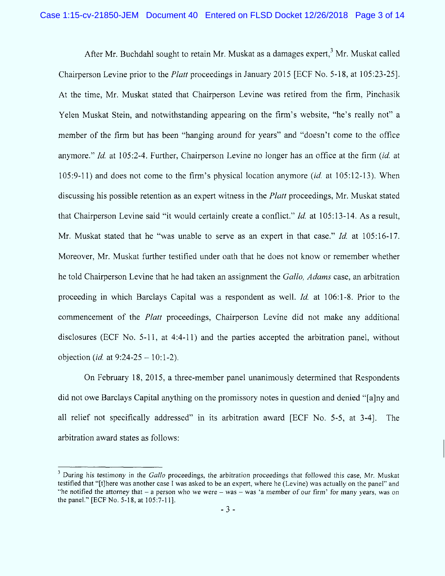After Mr. Buchdahl sought to retain Mr. Muskat as a damages expert,  $3$  Mr. Muskat called Chairperson Levine prior to the *Platt* proceedings in January 2015 [ECF No. 5-18, at 105:23-25]. At the time, Mr. Muskat stated that Chairperson Levine was retired from the firm, Pinchasik Yelen Muskat Stein, and notwithstanding appearing on the firm's website, "he's really not" a member of the firm but has been "hanging around for years" and "doesn't come to the office anymore." Id. at  $105:2-4$ . Further, Chairperson Levine no longer has an office at the firm *(id.* at  $105:9-11$ ) and does not come to the firm's physical location anymore (id. at  $105:12-13$ ). When discussing his possible retention as an expert witness in the *Platt* proceedings, Mr. Muskat stated that Chairperson Levine said "it would certainly create a conflict."  $Id$ . at 105:13-14. As a result, Mr. Muskat stated that he "was unable to serve as an expert in that case."  $Id$  at 105:16-17. Moreover, Mr. Muskat further testified under oath that he does not know or remember whether he told Chairperson Levine that he had taken an assignment the Gallo, Adams case, an arbitration proceeding in which Barclays Capital was a respondent as well. *Id.* at 106:1-8. Prior to the commencement of the *Platt* proceedings, Chairperson Levine did not make any additional disclosures (ECF No. 5-11, at 4:4-11) and the parties accepted the arbitration panel, without objection (*id.* at  $9:24-25-10:1-2$ ).

On February 18, 2015, a three-member panel unanimously determined that Respondents did not owe Barclays Capital anything on the promissory notes in question and denied "[a]ny and relief not specifically addressed'' in its arbitration award (ECF No. 5-5, at 3-41. The arbitration award states as follows'.

 $3$  During his testimony in the Gallo proceedings, the arbitration proceedings that followed this case, Mr. Muskat testified that "[t]here was another case I was asked to be an expert, where he (Levine) was actually on the panel" and "he notified the attorney that  $-$  a person who we were  $-$  was  $-$  was 'a member of our firm' for many years, was on the panel.'' EECF No. 5-1s, at 105:7-1 1).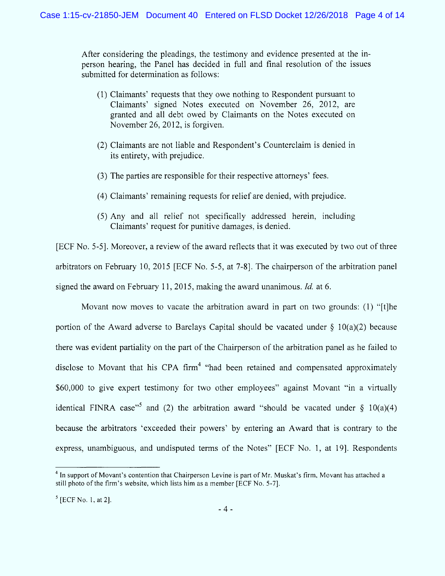After considering the pleadings, the testim only and evidence presented at the inperson hearing, the Panel has decided in full and final resolution of the issues submitted for determination as follows:

- (1) Claimants' requests that they owe nothing to Respondent pursuant to Claimants' signed Notes executed on November 26, 2012, are granted and all debt owed by Claimants on the Notes executed on November 26, 2012, is forgiven.
- (2) Claimants are not liable and Respondent's Counterclaim is denied in its entirety, with prejudice.
- (3) The parties are responsible for their respective attorneys' fees.
- (4) Claimants' remaining requests for relief are denied, with prejudice.
- (5) Any and al1 relief not specitically addressed herein, including Claim ants' request for punitive damages, is denied.

(ECF No. 5-51. Moreover, a review of the award retlects that it was executed by two out of three arbitrators on February 10, 2015 (ECF No. 5-5, at 7-81. The chairperson of the arbitration panel signed the award on February 11, 2015, making the award unanimous. *Id.* at 6.

Movant now moves to vacate the arbitration award in part on two grounds: (1) "[t]he portion of the Award adverse to Barclays Capital should be vacated under  $\S 10(a)(2)$  because there was evident partiality on the part of the Chairperson of the arbitration panel as he failed to disclose to Movant that his CPA firm<sup>4</sup> "had been retained and compensated approximately \$60,000 to give expert testimony for two other employees" against Movant "in a virtually identical FINRA case<sup>"5</sup> and (2) the arbitration award "should be vacated under  $\S$  10(a)(4) because the arbitrators 'exceeded their powers' by entering an Award that is contrary to the express, unambiguous, and undisputed terms of the Notes'' (ECF No. 1, at 191. Respondents

 $<sup>4</sup>$  In support of Movant's contention that Chairperson Levine is part of Mr. Muskat's firm, Movant has attached a</sup> still photo of the firm's website, which lists him as a member [ECF No. 5-7].

 $<sup>5</sup>$  [ECF No. 1, at 2].</sup>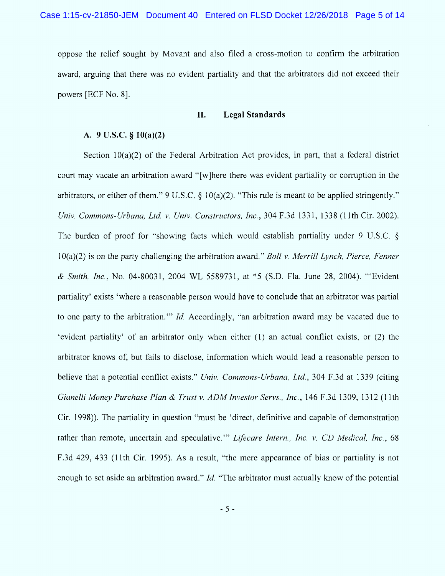oppose the relief sought by Movant and also filed a cross-motion to confirm the arbitration award, arguing that there was no evident partiality and that the arbitrators did not exceed their powers (ECF No. 8j.

## II. Legal Standards

## A.  $9 \text{ U.S.C.} \$  $10(a)(2)$

Section 10(a)(2) of the Federal Arbitration Act provides, in part, that a federal district court may vacate an arbitration award "[w]here there was evident partiality or corruption in the arbitrators, or either of them." 9 U.S.C.  $\S$  10(a)(2). "This rule is meant to be applied stringently." Univ. Commons-Urbana, Ltd. v. Univ. Constructors, Inc., 304 F.3d 1331, 1338 (11th Cir. 2002). The burden of proof for "showing facts which would establish partiality under 9 U.S.C.  $\S$  $10(a)(2)$  is on the party challenging the arbitration award." Boll v. Merrill Lynch, Pierce, Fenner & Smith, Inc., No. 04-80031, 2004 WL 5589731, at \*5 (S.D. Fla. June 28, 2004). "Evident partiality' exists 'where a reasonable person would have to conclude that an arbitrator was partial to one party to the arbitration." *Id.* Accordingly, "an arbitration award may be vacated due to ûevident partiality' of an arbitrator only when either (1) an actual conflict exists, or (2) the arbitrator knows of, but fails to disclose, information which would lead a reasonable person to believe that a potential conflict exists." Univ. Commons-Urbana, Ltd., 304 F.3d at 1339 (citing Gianelli Money Purchase Plan & Trust v. ADM Investor Servs., Inc., 146 F.3d 1309, 1312 (11th  $C$ ir. 1998)). The partiality in question "must be 'direct, definitive and capable of demonstration rather than remote, uncertain and speculative." Lifecare Intern., Inc. v. CD Medical, Inc., 68 F.3d 429, 433 (11th Cir. 1995). As a result, "the mere appearance of bias or partiality is not enough to set aside an arbitration award." *Id.* "The arbitrator must actually know of the potential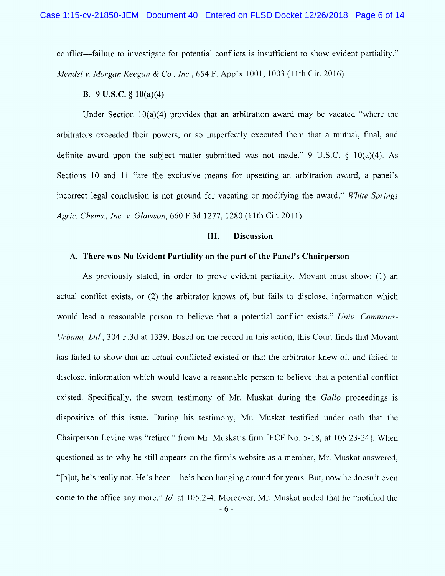conflict—failure to investigate for potential conflicts is insufficient to show evident partiality." Mendel v. Morgan Keegan & Co., Inc., 654 F. App'x 1001, 1003 (11th Cir. 2016).

## B.  $9 \text{ U.S.C.} \$  $10(a)(4)$

Under Section  $10(a)(4)$  provides that an arbitration award may be vacated "where the arbitrators exceeded their powers, or so imperfectly executed them that a mutual, final, and definite award upon the subject matter submitted was not made." 9 U.S.C.  $\S$  10(a)(4). As Sections 10 and 11 "are the exclusive means for upsetting an arbitration award, a panel's incorrect legal conclusion is not ground for vacating or modifying the award." White Springs Agric. Chems., Inc. v. Glawson, 660 F.3d 1277, 1280 (11th Cir. 2011).

#### III. Discussion

#### A. There was No Evident Partiality on the part of the Panel's Chairperson

As previously stated, in order to prove evident partiality, Movant must show: (1) an actual contlict exists, or (2) the arbitrator knows of, but fails to disclose, information which would lead a reasonable person to believe that a potential conflict exists." Univ. Commons-Urbana, Ltd., 304 F.3d at 1339. Based on the record in this action, this Court finds that Movant has failed to show that an actual conflicted existed or that the arbitrator knew of, and failed to disclose, information which would leave a reasonable person to believe that a potential conflict existed. Specifically, the sworn testimony of Mr. Muskat during the Gallo proceedings is dispositive of this issue. During his testimony, Mr. Muskat testified under oath that the Chairperson Levine was "retired" from Mr. Muskat's firm [ECF No. 5-18, at 105:23-24]. When questioned as to why he still appears on the firm's website as a member, Mr. Muskat answered, û'gblut, he's really not. He's been - he's been hanging around for years. But, now he doesn't even come to the office any more." *Id.* at  $105:2-4$ . Moreover, Mr. Muskat added that he "notified the - 6 -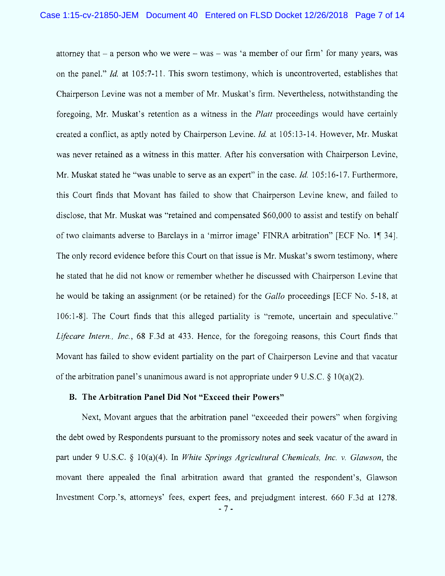attorney that  $-$  a person who we were  $-$  was  $-$  was 'a member of our firm' for many years, was on the panel." Id. at  $105:7-11$ . This sworn testimony, which is uncontroverted, establishes that Chairperson Levine was not a member of Mr. Muskat's firm. Nevertheless, notwithstanding the foregoing, Mr. Muskat's retention as a witness in the *Platt* proceedings would have certainly created a conflict, as aptly noted by Chairperson Levine. *Id.* at 105:13-14. However, Mr. Muskat was never retained as a witness in this matter. After his conversation with Chairperson Levine, Mr. Muskat stated he "was unable to serve as an expert" in the case. *Id.* 105:16-17. Furthermore, this Court finds that Movant has failed to show that Chairperson Levine knew, and failed to disclose, that Mr. Muskat was "retained and compensated \$60,000 to assist and testify on behalf of two claimants adverse to Barclays in a 'mirror image' FINRA arbitration'' [ECF No. 1] 34]. The only record evidence before this Court on that issue is Mr. Muskat's sworn testimony, where he stated that he did not know or remember whether he discussed with Chairperson Levine that he would be taking an assignment (or be retained) for the *Gallo* proceedings [ECF No. 5-18, at 106:1-8]. The Court finds that this alleged partiality is "remote, uncertain and speculative." Lifecare Intern., Inc., 68 F.3d at 433. Hence, for the foregoing reasons, this Court finds that Movant has failed to show evident partiality on the part of Chairperson Levine and that vacatur of the arbitration panel's unanimous award is not appropriate under 9 U.S.C.  $\S$  10(a)(2).

## B. The Arbitration Panel Did Not "Exceed their Powers"

Next, Movant argues that the arbitration panel "exceeded their powers" when forgiving the debt owed by Respondents pursuant to the promissory notes and seek vacatur of the award in part under 9 U.S.C.  $\S$  10(a)(4). In *White Springs Agricultural Chemicals, Inc. v. Glawson*, the movant there appealed the fnal arbitration award that granted the respondent's, Glawson Investment Corp.'s, attorneys' fees, expert fees, and prejudgment interest. 660 F.3d at 1278.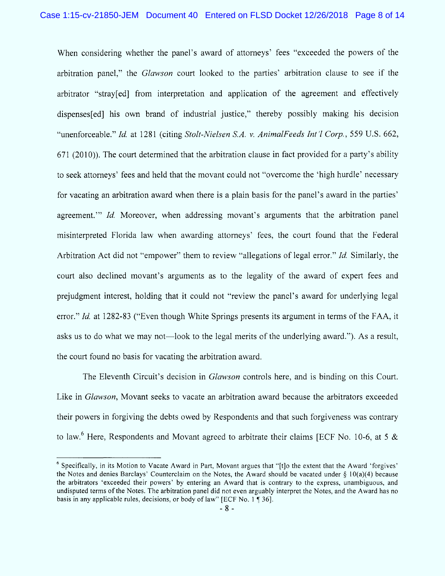When considering whether the panel's award of attorneys' fees "exceeded the powers of the arbitration panel,'' the Glawson court looked to the parties' arbitration clause to see if the arbitrator "stray[ed] from interpretation and application of the agreement and effectively dispenses edl his own brand of industrial justice," thereby possibly making his decision "unenforceable." Id. at 1281 (citing Stolt-Nielsen S.A. v. AnimalFeeds Int'l Corp., 559 U.S. 662,  $671$  (2010)). The court determined that the arbitration clause in fact provided for a party's ability to seek attorneys' fees and held that the movant could not "overcome the 'high hurdle' necessary for vacating an arbitration award when there is a plain basis for the panel's award in the parties' agreement." Id. Moreover, when addressing movant's arguments that the arbitration panel misinterpreted Florida law when awarding attorneys' fees, the court found that the Federal Arbitration Act did not "empower" them to review "allegations of legal error." Id. Similarly, the court also declined movant's arguments as to the legality of the award of expert fees and prejudgment interest, holding that it could not "review the panel's award for underlying legal error." Id. at 1282-83 ("Even though White Springs presents its argument in terms of the FAA, it asks us to do what we may not—look to the legal merits of the underlying award."). As a result, the court found no basis for vacating the arbitration award.

The Eleventh Circuit's decision in *Glawson* controls here, and is binding on this Court. Like in Glawson, Movant seeks to vacate an arbitration award because the arbitrators exceeded their powers in forgiving the debts owed by Respondents and that such forgiveness was contrary to law.<sup>6</sup> Here, Respondents and Movant agreed to arbitrate their claims [ECF No. 10-6, at 5 &

 $6$  Specifically, in its Motion to Vacate Award in Part, Movant argues that "[t]o the extent that the Award 'forgives' the Notes and denies Barclays' Counterclaim on the Notes, the Award should be vacated under  $\S 10(a)(4)$  because the arbitrators ûexceeded their powers' by entering an Award that is contrary to the express, unambiguous, and undisputed terms of the Notes. The arbitration panel did not even arguably interpret the Notes, and the Award has no basis in any applicable rules, decisions, or body of law" [ECF No. 1  $\P$  36].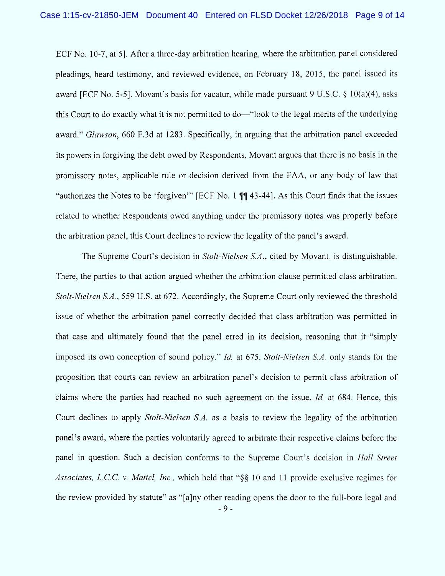ECF No. 10-7, at 51. After a three-day arbitration hearing, where the arbitration panel considered pleadings, heard testimony, and reviewed evidence, on February 18, 2015, the panel issued its award (ECF No. 5-51. Movant's basis for vacatur, while made pursuant 9 U.S.C.  $\S$  10(a)(4), asks this Court to do exactly what it is not permitted to do—"look to the legal merits of the underlying award.'' Glawson, 660 F.3d at 1283. Specifically, in arguing that the arbitration panel exceeded its powers in forgiving the debt owed by Respondents, Movant argues that there is no basis in the promissory notes, applicable rule or decision derived from the FAA, or any body of law that "authorizes the Notes to be 'forgiven'" [ECF No. 1  $\P$  43-44]. As this Court finds that the issues related to whether Respondents owed anything under the promissory notes was properly before the arbitration panel, this Court declines to review the legality of the panel's award.

The Supreme Court's decision in *Stolt-Nielsen S.A.*, cited by Movant, is distinguishable. There, the parties to that action argued whether the arbitration clause permitted class arbitration. Stolt-Nielsen S.A., 559 U.S. at 672. Accordingly, the Supreme Court only reviewed the threshold issue of whether the arbitration panel correctly decided that class arbitration was permitted in that case and ultimately found that the panel erred in its decision, reasoning that it "simply imposed its own conception of sound policy.'' 1d. at 675. Stolt-Nielsen S.A. only stands for the proposition that courts can review an arbitration panel's decision to permit class arbitration of claims where the parties had reached no such agreement on the issue.  $Id$  at 684. Hence, this Court declines to apply Stolt-Nielsen S.A. as a basis to review the legality of the arbitration panel's award, where the parties voluntarily agreed to arbitrate their respective claims before the panel in question. Such a decision conforms to the Supreme Court's decision in *Hall Street* Associates, L.C.C. v. Mattel, Inc., which held that " $\S$ § 10 and 11 provide exclusive regimes for the review provided by statute" as "[a]ny other reading opens the door to the full-bore legal and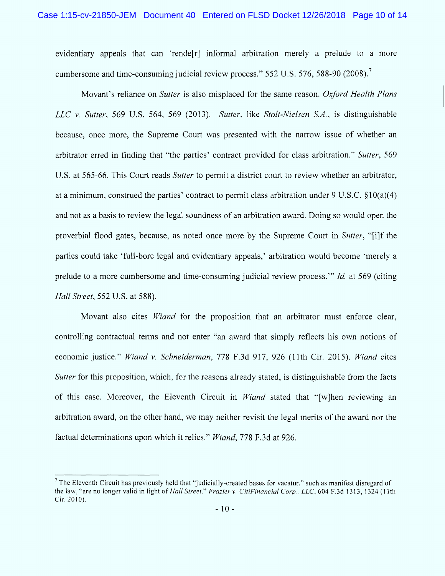evidentiary appeals that can 'rende<sup>r</sup> informal arbitration merely a prelude to a more cumbersome and time-consuming judicial review process."  $552$  U.S.  $576$ ,  $588-90$  (2008).<sup>7</sup>

Movant's reliance on Sutter is also misplaced for the same reason. Oxford Health Plans LLC v. Sutter, 569 U.S. 564, 569 (2013). Sutter, like Stolt-Nielsen S.A., is distinguishable because, once more, the Supreme Court was presented with the narrow issue of whether an arbitrator erred in finding that "the parties' contract provided for class arbitration." Sutter, 569 U.S. at 565-66. This Court reads Sutter to permit a district court to review whether an arbitrator, at a minimum, construed the parties' contract to permit class arbitration under  $9 \text{ U.S.C. } §10(a)(4)$ and not as a basis to review the legal soundness of an arbitration award. Doing so would open the proverbial flood gates, because, as noted once more by the Supreme Court in Sutter, "[i]f the parties could take 'full-bore legal and evidentiary appeals,' arbitration would become 'merely a prelude to a more cumbersome and time-consuming judicial review process." *Id.* at 569 (citing Hall Street, 552 U.S. at 588).

Movant also cites Wiand for the proposition that an arbitrator must enforce clear, controlling contractual terms and not enter "an award that simply reflects his own notions of economic justice." Wiand v. Schneiderman, 778 F.3d 917, 926 (11th Cir. 2015). Wiand cites Sutter for this proposition, which, for the reasons already stated, is distinguishable from the facts of this case. Moreover, the Eleventh Circuit in *Wiand* stated that "[w]hen reviewing an arbitration award, on the other hand, we may neither revisit the legal merits of the award nor the factual determinations upon which it relies." Wiand, 778 F.3d at 926.

<sup>&</sup>lt;sup>7</sup> The Eleventh Circuit has previously held that "judicially-created bases for vacatur," such as manifest disregard of the law, "are no longer valid in light of Hall Street." Frazier v. CitiFinancial Corp., LLC, 604 F.3d 1313, 1324 (11th Cir. 2010).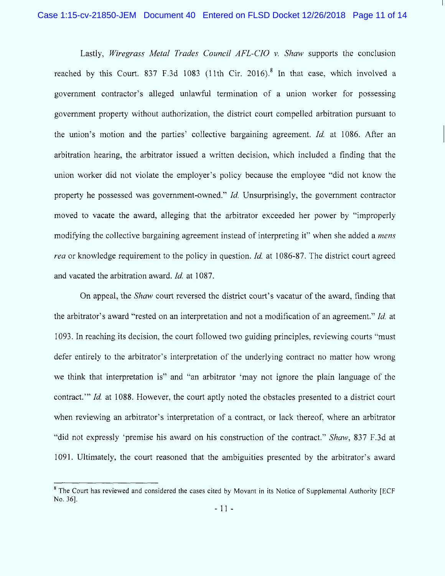Lastly, Wiregrass Metal Trades Council  $AFL-CIO$  v. Shaw supports the conclusion reached by this Court. 837 F.3d 1083 (11th Cir. 2016).<sup>8</sup> In that case, which involved a government contractor's alleged unlawful termination of a union worker for possessing government property without authorization, the district court compelled arbitration pursuant to the union's motion and the parties' collective bargaining agreement. *Id.* at 1086. After an arbitration hearing, the arbitrator issued a written decision, which included a finding that the union worker did not violate the employer's policy because the employee "did not know the property he possessed was government-owned."  $Id$ . Unsurprisingly, the government contractor moved to vacate the award, alleging that the arbitrator exceeded her power by "improperly modifying the collective bargaining agreement instead of interpreting it" when she added a *mens* rea or knowledge requirement to the policy in question. *Id.* at 1086-87. The district court agreed and vacated the arbitration award. *Id.* at 1087.

On appeal, the Shaw court reversed the district eourt's vacatur of the award, tinding that the arbitrator's award "rested on an interpretation and not a modification of an agreement." Id. at 1093. In reaching its decision, the court followed two guiding principles, reviewing courts "must" defer entirely to the arbitrator's interpretation of the underlying contract no matter how wrong we think that interpretation is" and "an arbitrator 'may not ignore the plain language of the contract.'" Id. at 1088. However, the court aptly noted the obstacles presented to a district court when reviewing an arbitrator's interpretation of a contract, or lack thereof, where an arbitrator "did not expressly 'premise his award on his construction of the contract." Shaw, 837 F.3d at 1091. Ultimately, the court reasoned that the ambiguities presented by the arbitrator's award

<sup>&</sup>lt;sup>8</sup> The Court has reviewed and considered the cases cited by Movant in its Notice of Supplemental Authority [ECF No. 36].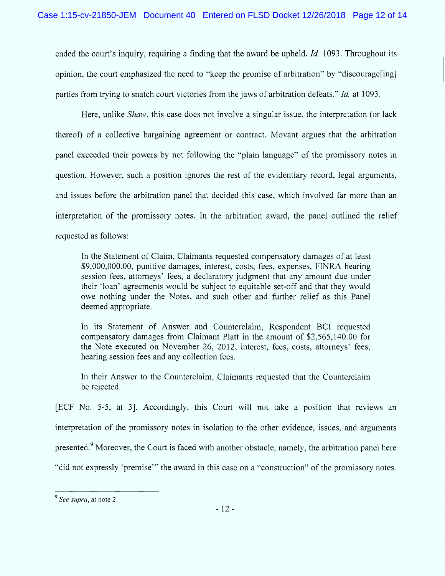ended the court's inquiry, requiring a finding that the award be upheld, *Id.* 1093. Throughout its opinion, the court emphasized the need to "keep the promise of arbitration" by "discourage [ing] parties from trying to snatch court victories from the jaws of arbitration defeats." *Id.* at 1093.

Here, unlike *Shaw*, this case does not involve a singular issue, the interpretation (or lack thereof) of a collective bargaining agreement or contract. Movant argues that the arbitration panel exceeded their powers by not following the "plain language" of the promissory notes in question. However, such a position ignores the rest of the evidentiary record, legal arguments, and issues before the arbitration panel that decided this case, which involved far more than an interpretation of the promissory notes. In the arbitration award, the panel outlined the relief requested as follows:

ln the Statement of Claim , Claimants requested compensatory dam ages of at least \$9,000,000.00, punitive damages, interest, costs, fees, expenses, FINRA hearing session fees, attorneys' fees, a declaratory judgment that any amount due under their 'loan' agreements would be subject to equitable set-off and that they would owe nothing under the Notes, and such other and further relief as this Panel deemed appropriate.

In its Statement of Answer and Counterclaim, Respondent BCI requested compensatory damages from Claimant Platt in the amount of \$2,565,140.00 for the Note executed on November 26, 2012, interest, fees, costs, attorneys' fees, hearing session fees and any collection fees.

In their Answer to the Counterclaim, Claimants requested that the Counterclaim be rejected.

gECF No. 5-5, at 3j. Accordingly, this Court will not take a position that reviews an interpretation of the promissory notes in isolation to the other evidence, issues, and arguments presented.<sup>9</sup> Moreover, the Court is faced with another obstacle, namely, the arbitration panel here "did not expressly 'premise'" the award in this case on a "construction" of the promissory notes.

 $<sup>9</sup>$  See supra, at note 2.</sup>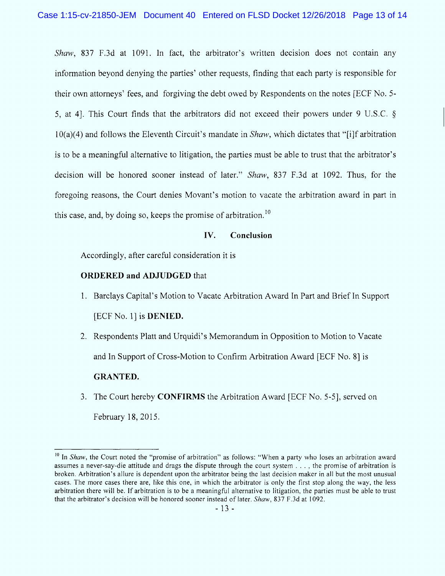Shaw, 837 F.3d at 1091. In fact, the arbitrator's written decision does not contain any inform ation beyond denying the parties' other requests, finding that each party is responsible for their own attorneys' fees, and forgiving the debt owed by Respondents on the notes (ECF No. 5- 5, at 41. This Court finds that the arbitrators did not exceed their powers under 9 U.S.C.  $\delta$  $10(a)(4)$  and follows the Eleventh Circuit's mandate in *Shaw*, which dictates that "[i]f arbitration is to be a meaningful alternative to litigation, the parties must be able to trust that the arbitrator's decision will be honored sooner instead of later." Shaw, 837 F.3d at 1092. Thus, for the foregoing reasons, the Court denies Movant's motion to vacate the arbitration award in part in this case, and, by doing so, keeps the promise of arbitration.<sup>10</sup>

#### IV. Conclusion

Accordingly, after careful consideration it is

# ORDERED and ADJUDGED that

- 1. Barclays Capital's Motion to Vacate Arbitration Award In Part and Brief In Support [ECF No. 1] is **DENIED.**
- 2. Respondents Platt and Urquidi's Memorandum in Opposition to Motion to Vacate and In Support of Cross-Motion to Confirm Arbitration Award [ECF No. 8] is **GRANTED.**
- 3. The Court hereby **CONFIRMS** the Arbitration Award [ECF No. 5-5], served on February 18, 2015.

 $10$  In Shaw, the Court noted the "promise of arbitration" as follows: "When a party who loses an arbitration award assumes a never-say-die attitude and drags the dispute through the court system . . . , the promise of arbitration is broken. Arbitration's allure is dependent upon the arbitrator being the Iast decision maker in all but the most unusual cases. The more cases there are, like this one, in which the arbitrator is only the first stop along the way, the less arbitration there will be. lf arbitration is to be a meaningful alternative to litigation, the parties must be able to trust that the arbitrator's decision will be honored sooner instead of later. Shaw, 837 F.3d at 1092.